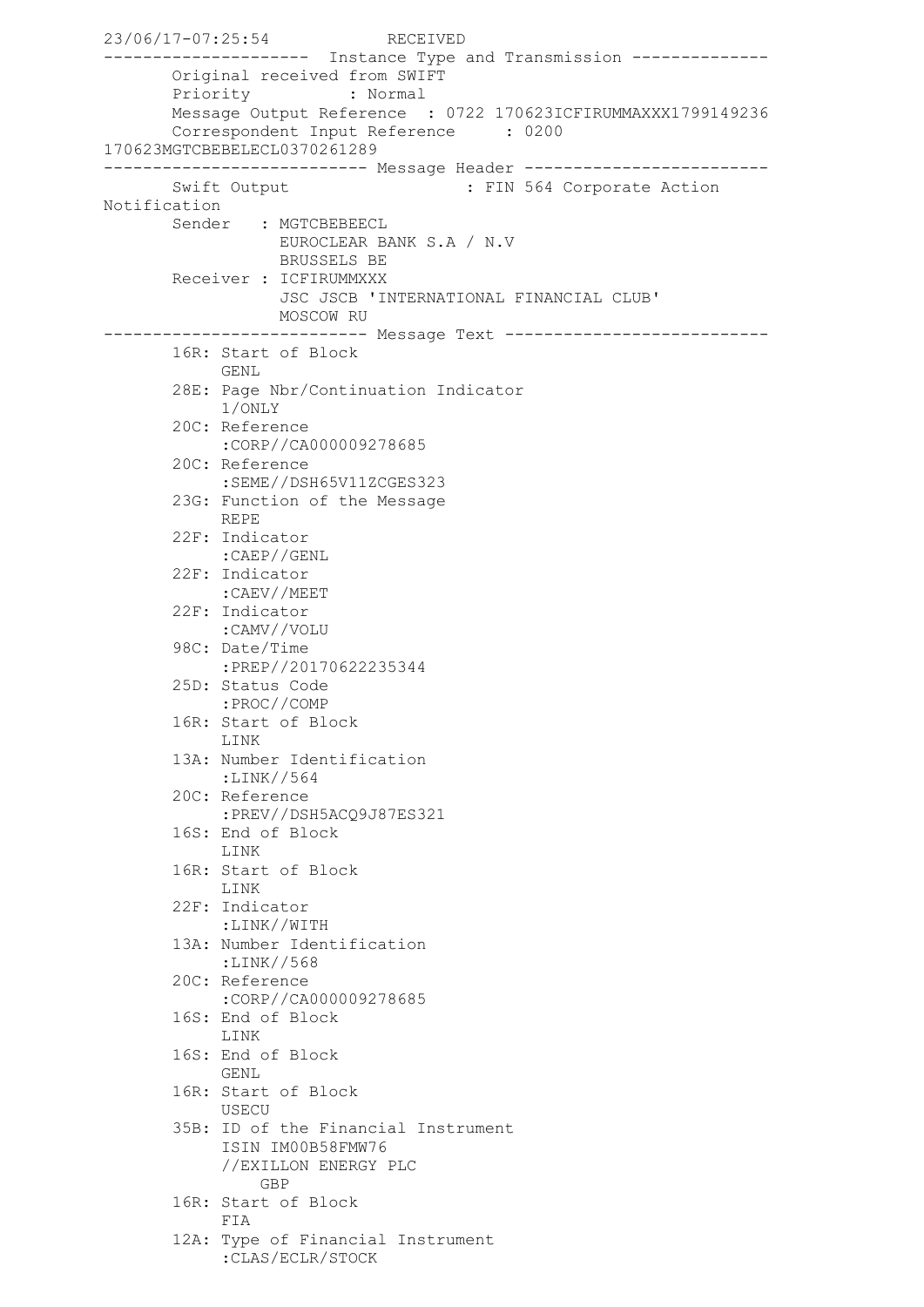23/06/17-07:25:54 RECEIVED --------------------- Instance Type and Transmission -------------- Original received from SWIFT Priority : Normal Message Output Reference : 0722 170623ICFIRUMMAXXX1799149236 Correspondent Input Reference : 0200 170623MGTCBEBELECL0370261289 --------------------------- Message Header ------------------------- Swift Output : FIN 564 Corporate Action Notification Sender : MGTCBEBEECL EUROCLEAR BANK S.A / N.V BRUSSELS BE Receiver : ICFIRUMMXXX JSC JSCB 'INTERNATIONAL FINANCIAL CLUB' MOSCOW RU --------------------------- Message Text --------------------------- 16R: Start of Block GENL. 28E: Page Nbr/Continuation Indicator 1/ONLY 20C: Reference :CORP//CA000009278685 20C: Reference :SEME//DSH65V11ZCGES323 23G: Function of the Message REPE 22F: Indicator :CAEP//GENL 22F: Indicator :CAEV//MEET 22F: Indicator :CAMV//VOLU 98C: Date/Time :PREP//20170622235344 25D: Status Code :PROC//COMP 16R: Start of Block LINK 13A: Number Identification :LINK//564 20C: Reference :PREV//DSH5ACQ9J87ES321 16S: End of Block LINK 16R: Start of Block LINK 22F: Indicator :LINK//WITH 13A: Number Identification :LINK//568 20C: Reference :CORP//CA000009278685 16S: End of Block LINK 16S: End of Block GENL 16R: Start of Block USECU 35B: ID of the Financial Instrument ISIN IM00B58FMW76 //EXILLON ENERGY PLC GBP 16R: Start of Block FIA 12A: Type of Financial Instrument :CLAS/ECLR/STOCK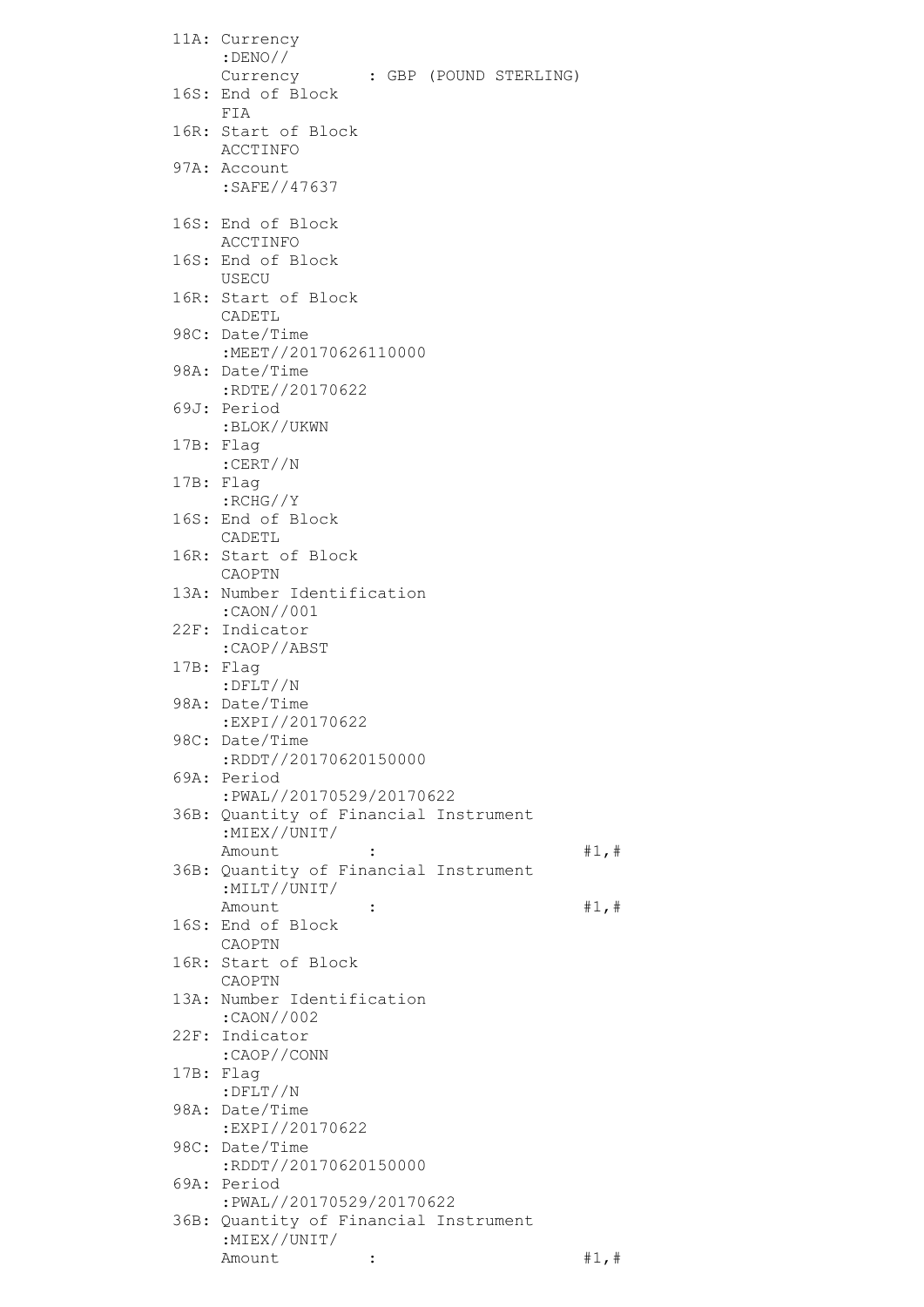| 11A: Currency<br>$:$ DENO//                                       |       |
|-------------------------------------------------------------------|-------|
| Currency<br>: GBP (POUND STERLING)<br>16S: End of Block           |       |
| FIA<br>16R: Start of Block<br>ACCTINFO                            |       |
| 97A: Account<br>:SAFE//47637                                      |       |
| 16S: End of Block<br>ACCTINFO                                     |       |
| 16S: End of Block<br>USECU                                        |       |
| 16R: Start of Block<br>CADETL                                     |       |
| 98C: Date/Time<br>:MEET//20170626110000                           |       |
| 98A: Date/Time<br>:RDTE//20170622                                 |       |
| 69J: Period                                                       |       |
| :BLOK//UKWN<br>17B: Flag                                          |       |
| :CERT//N<br>17B: Flag                                             |       |
| :RCHG//Y<br>16S: End of Block                                     |       |
| CADETL<br>16R: Start of Block                                     |       |
| CAOPTN<br>13A: Number Identification                              |       |
| :CAON//001<br>22F: Indicator                                      |       |
| :CAOP//ABST<br>17B: Flag                                          |       |
| $:$ $\mathrm{DFLT}//\mathrm{N}$<br>98A: Date/Time                 |       |
| :EXPI//20170622<br>98C: Date/Time<br>:RDDT//20170620150000        |       |
| 69A: Period<br>:PWAL//20170529/20170622                           |       |
| 36B: Quantity of Financial Instrument<br>:MIEX//UNIT/             |       |
| Amount<br>36B: Quantity of Financial Instrument<br>:MILT//UNIT/   | #1, # |
| Amount<br>$\ddot{\cdot}$<br>16S: End of Block                     | #1, # |
| CAOPTN<br>16R: Start of Block                                     |       |
| CAOPTN<br>13A: Number Identification                              |       |
| :CAON//002<br>22F: Indicator                                      |       |
| :CAOP//CONN<br>17B: Flag                                          |       |
| $:$ DFLT//N<br>98A: Date/Time                                     |       |
| :EXPI//20170622<br>98C: Date/Time                                 |       |
| :RDDT//20170620150000<br>69A: Period                              |       |
| :PWAL//20170529/20170622<br>36B: Quantity of Financial Instrument |       |
| :MIEX//UNIT/<br>Amount                                            |       |
|                                                                   | #1, # |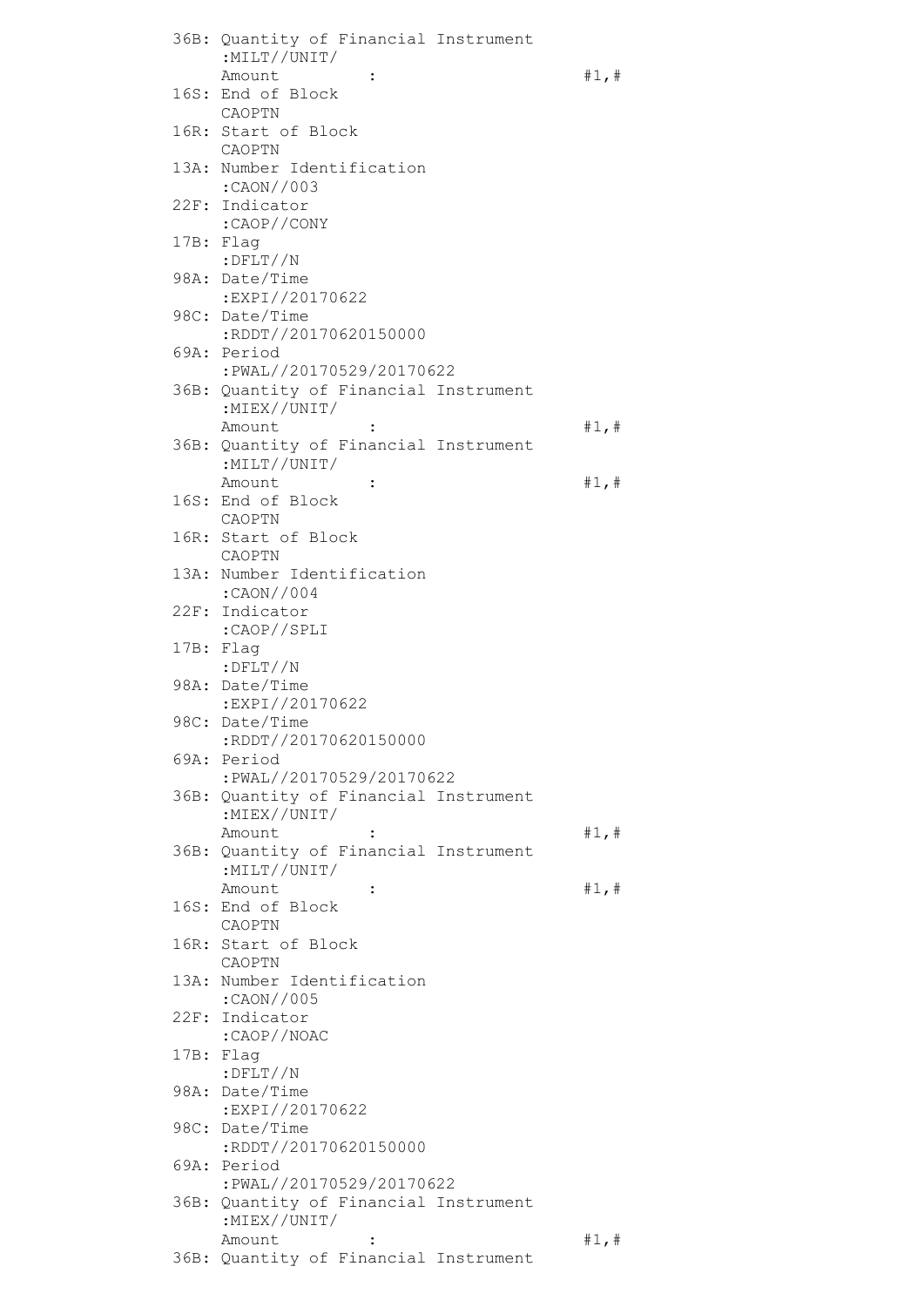|  | 36B: Quantity of Financial Instrument                             |       |
|--|-------------------------------------------------------------------|-------|
|  | :MILT//UNIT/<br>Amount<br>$\ddot{\cdot}$                          | #1, # |
|  | 16S: End of Block<br>CAOPTN                                       |       |
|  | 16R: Start of Block                                               |       |
|  | CAOPTN<br>13A: Number Identification                              |       |
|  | :CAON//003                                                        |       |
|  | 22F: Indicator<br>:CAOP//CONY                                     |       |
|  | 17B: Flaq<br>$:$ $DFLT//N$                                        |       |
|  | 98A: Date/Time<br>:EXPI//20170622                                 |       |
|  | 98C: Date/Time<br>:RDDT//20170620150000                           |       |
|  | 69A: Period<br>:PWAL//20170529/20170622                           |       |
|  | 36B: Quantity of Financial Instrument                             |       |
|  | :MIEX//UNIT/                                                      |       |
|  | Amount<br>36B: Quantity of Financial Instrument                   | #1, # |
|  | :MILT//UNIT/                                                      |       |
|  | Amount<br>$\ddot{\cdot}$<br>16S: End of Block                     | #1, # |
|  | CAOPTN                                                            |       |
|  | 16R: Start of Block<br>CAOPTN                                     |       |
|  | 13A: Number Identification<br>:CAON//004                          |       |
|  | 22F: Indicator<br>:CAOP//SPLI                                     |       |
|  | 17B: Flag                                                         |       |
|  | $:$ DFLT//N<br>98A: Date/Time                                     |       |
|  | :EXPI//20170622                                                   |       |
|  | 98C: Date/Time<br>:RDDT//20170620150000                           |       |
|  | 69A: Period                                                       |       |
|  | :PWAL//20170529/20170622<br>36B: Quantity of Financial Instrument |       |
|  | :MIEX//UNIT/                                                      |       |
|  | Amount<br>36B: Quantity of Financial Instrument                   | #1, # |
|  | :MILT//UNIT/                                                      |       |
|  | Amount<br>$\ddot{\phantom{a}}$<br>16S: End of Block               | #1, # |
|  | CAOPTN<br>16R: Start of Block                                     |       |
|  | CAOPTN                                                            |       |
|  | 13A: Number Identification<br>:CAON//005                          |       |
|  | 22F: Indicator<br>:CAOP//NOAC                                     |       |
|  | 17B: Flag                                                         |       |
|  | $:$ $DFLT //N$<br>98A: Date/Time                                  |       |
|  | :EXPI//20170622<br>98C: Date/Time                                 |       |
|  | :RDDT//20170620150000                                             |       |
|  | 69A: Period<br>:PWAL//20170529/20170622                           |       |
|  | 36B: Quantity of Financial Instrument<br>: $MIEX//UNIT/$          |       |
|  | Amount                                                            | #1, # |
|  | 36B: Quantity of Financial Instrument                             |       |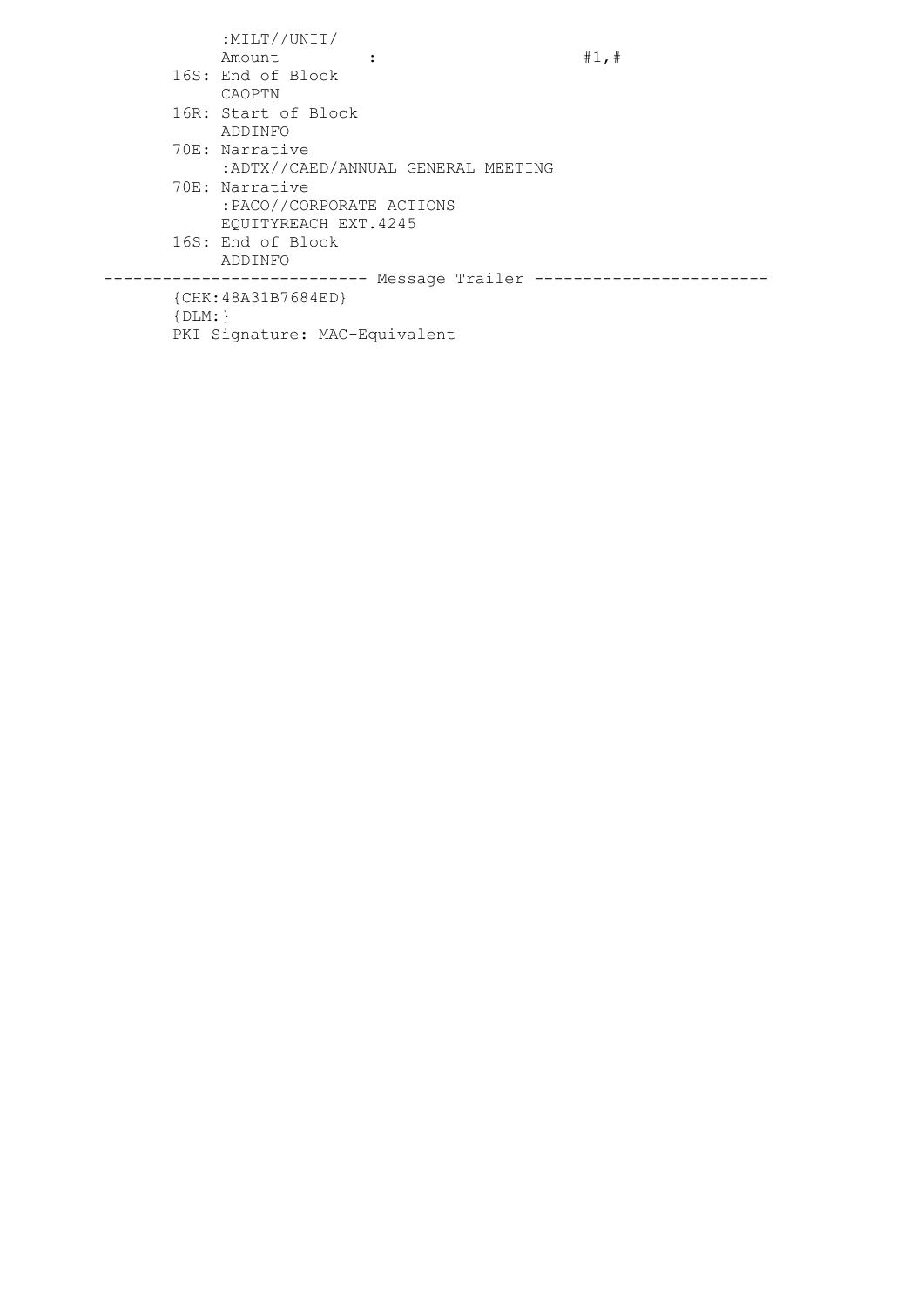|             | :MILT//UNIT/                  |                                    |       |
|-------------|-------------------------------|------------------------------------|-------|
|             | Amount                        |                                    | #1, # |
|             | 16S: End of Block             |                                    |       |
|             | CAOPTN                        |                                    |       |
|             | 16R: Start of Block           |                                    |       |
|             | ADDINFO                       |                                    |       |
|             | 70E: Narrative                |                                    |       |
|             |                               | :ADTX//CAED/ANNUAL GENERAL MEETING |       |
|             | 70E: Narrative                |                                    |       |
|             | :PACO//CORPORATE ACTIONS      |                                    |       |
|             | EOUITYREACH EXT.4245          |                                    |       |
|             | 16S: End of Block             |                                    |       |
|             | ADDINFO                       |                                    |       |
|             |                               | ---- Message Trailer ----          |       |
|             | ${CHK:48A31B7684ED}$          |                                    |       |
| $\{DLM: \}$ |                               |                                    |       |
|             | PKI Signature: MAC-Equivalent |                                    |       |
|             |                               |                                    |       |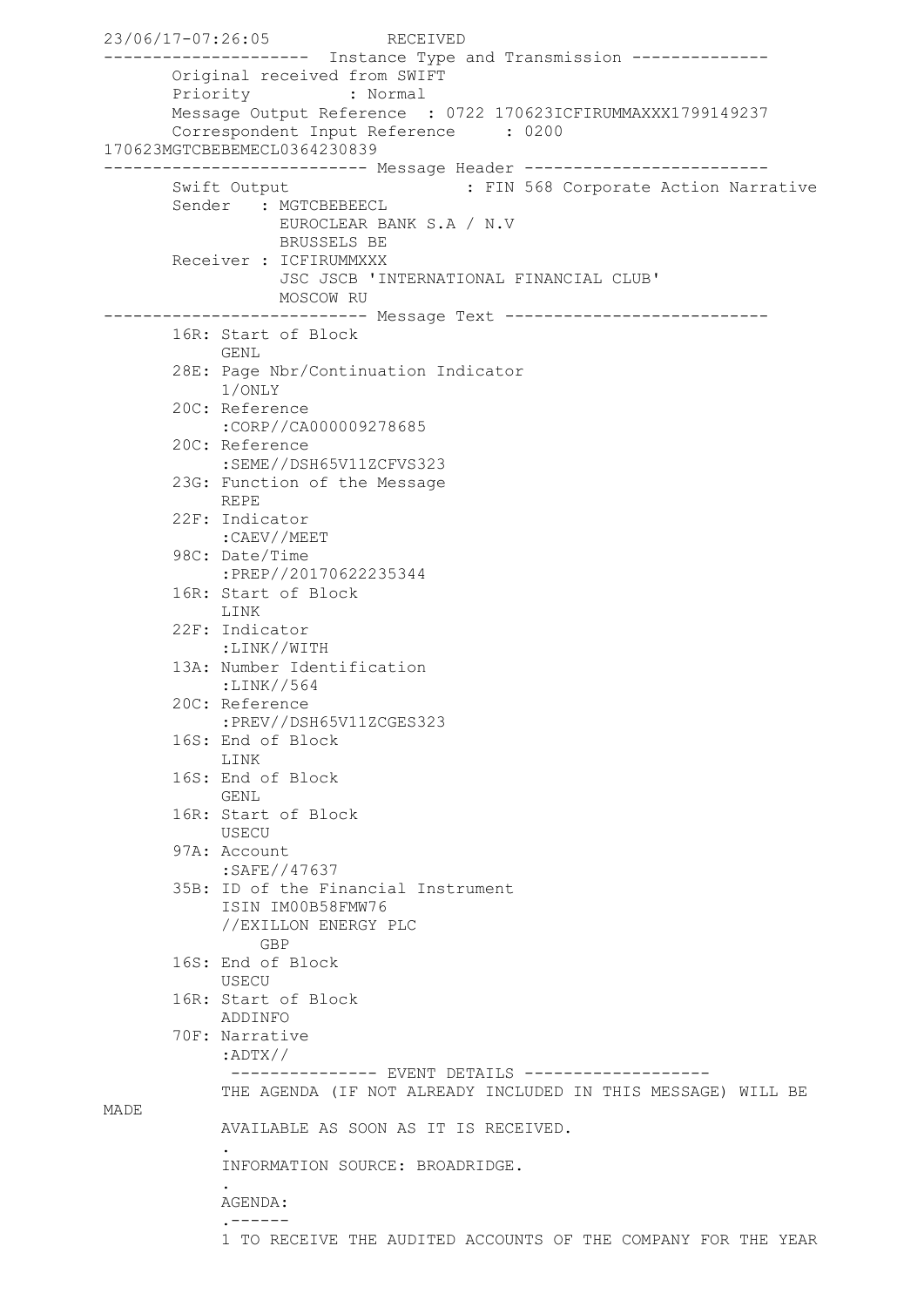```
23/06/17-07:26:05 RECEIVED
--------------------- Instance Type and Transmission --------------
        Original received from SWIFT
        Priority : Normal
        Message Output Reference : 0722 170623ICFIRUMMAXXX1799149237
        Correspondent Input Reference : 0200 
170623MGTCBEBEMECL0364230839
--------------------------- Message Header -------------------------
       Swift Output : FIN 568 Corporate Action Narrative
       Sender : MGTCBEBEECL
                   EUROCLEAR BANK S.A / N.V
                  BRUSSELS BE
        Receiver : ICFIRUMMXXX
                   JSC JSCB 'INTERNATIONAL FINANCIAL CLUB'
                 MOSCOW RU
--------------------------- Message Text ---------------------------
        16R: Start of Block
             GENL
        28E: Page Nbr/Continuation Indicator
             1/ONLY
        20C: Reference
             :CORP//CA000009278685
        20C: Reference
            :SEME//DSH65V11ZCFVS323
        23G: Function of the Message
            REPE
        22F: Indicator
             :CAEV//MEET
        98C: Date/Time
             :PREP//20170622235344
        16R: Start of Block
             LINK
        22F: Indicator
            :LINK//WITH
        13A: Number Identification
             :LINK//564
        20C: Reference
             :PREV//DSH65V11ZCGES323
        16S: End of Block
             LINK
        16S: End of Block
           GENL
        16R: Start of Block
            USECU
        97A: Account
             :SAFE//47637
        35B: ID of the Financial Instrument
             ISIN IM00B58FMW76
             //EXILLON ENERGY PLC
                GBP
        16S: End of Block
             USECU
        16R: Start of Block
             ADDINFO
        70F: Narrative
             :ADTX//
             --------------    EVENT DETAILS    ------------------
             THE AGENDA (IF NOT ALREADY INCLUDED IN THIS MESSAGE) WILL BE 
MADE
             AVAILABLE AS SOON AS IT IS RECEIVED.
 .
             INFORMATION SOURCE: BROADRIDGE.
 .
             AGENDA:
             .------
             1 TO RECEIVE THE AUDITED ACCOUNTS OF THE COMPANY FOR THE YEAR
```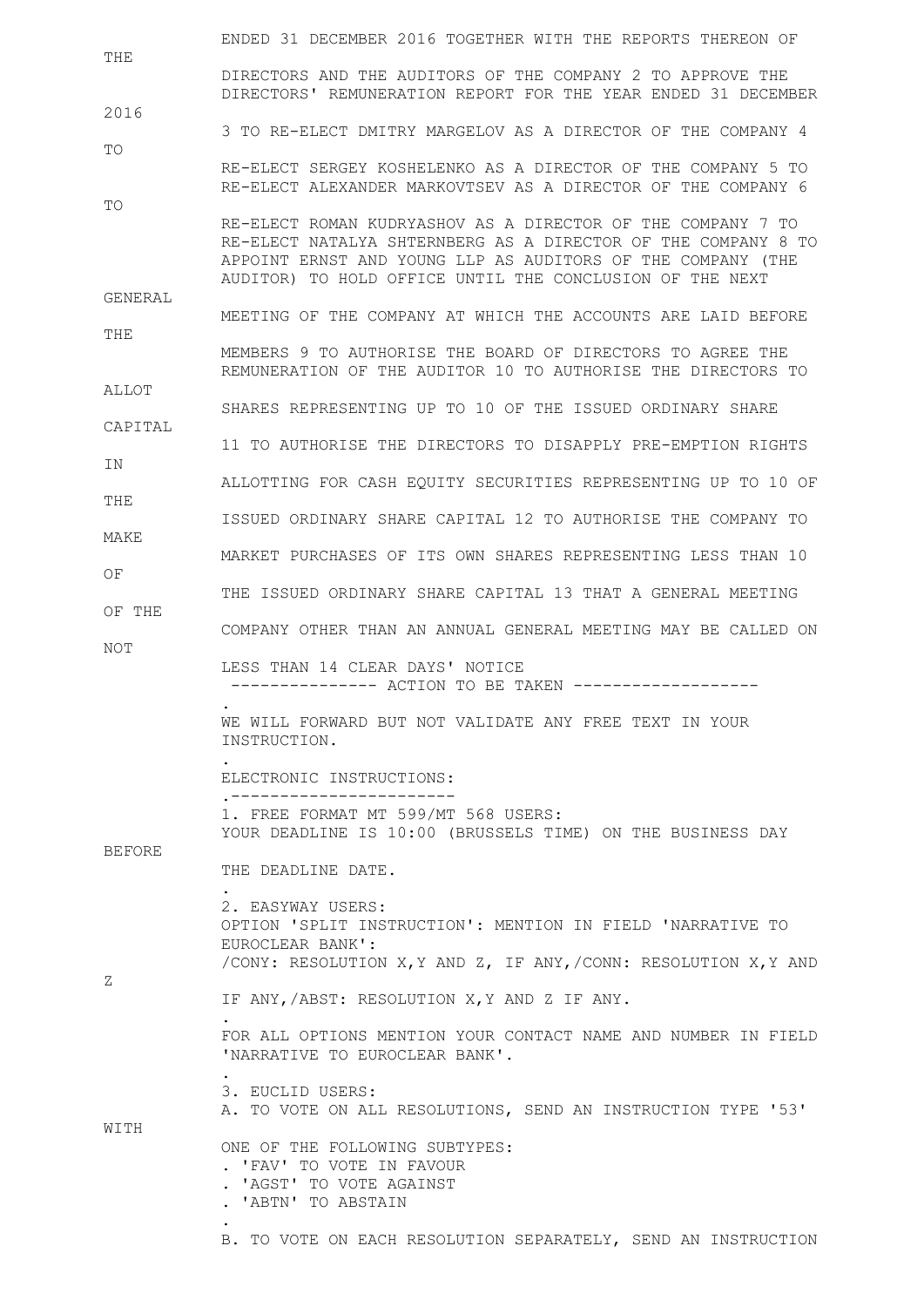|               | ENDED 31 DECEMBER 2016 TOGETHER WITH THE REPORTS THEREON OF                                                                                                                              |
|---------------|------------------------------------------------------------------------------------------------------------------------------------------------------------------------------------------|
| THE           | DIRECTORS AND THE AUDITORS OF THE COMPANY 2 TO APPROVE THE                                                                                                                               |
| 2016          | DIRECTORS' REMUNERATION REPORT FOR THE YEAR ENDED 31 DECEMBER                                                                                                                            |
|               | 3 TO RE-ELECT DMITRY MARGELOV AS A DIRECTOR OF THE COMPANY 4                                                                                                                             |
| TO            | RE-ELECT SERGEY KOSHELENKO AS A DIRECTOR OF THE COMPANY 5 TO<br>RE-ELECT ALEXANDER MARKOVTSEV AS A DIRECTOR OF THE COMPANY 6                                                             |
| TO            | RE-ELECT ROMAN KUDRYASHOV AS A DIRECTOR OF THE COMPANY 7 TO                                                                                                                              |
|               | RE-ELECT NATALYA SHTERNBERG AS A DIRECTOR OF THE COMPANY 8 TO<br>APPOINT ERNST AND YOUNG LLP AS AUDITORS OF THE COMPANY (THE<br>AUDITOR) TO HOLD OFFICE UNTIL THE CONCLUSION OF THE NEXT |
| GENERAL       | MEETING OF THE COMPANY AT WHICH THE ACCOUNTS ARE LAID BEFORE                                                                                                                             |
| THE           | MEMBERS 9 TO AUTHORISE THE BOARD OF DIRECTORS TO AGREE THE<br>REMUNERATION OF THE AUDITOR 10 TO AUTHORISE THE DIRECTORS TO                                                               |
| ALLOT         | SHARES REPRESENTING UP TO 10 OF THE ISSUED ORDINARY SHARE                                                                                                                                |
| CAPITAL       | 11 TO AUTHORISE THE DIRECTORS TO DISAPPLY PRE-EMPTION RIGHTS                                                                                                                             |
| IN.           |                                                                                                                                                                                          |
| THE           | ALLOTTING FOR CASH EOUITY SECURITIES REPRESENTING UP TO 10 OF                                                                                                                            |
| MAKE          | ISSUED ORDINARY SHARE CAPITAL 12 TO AUTHORISE THE COMPANY TO                                                                                                                             |
| OF.           | MARKET PURCHASES OF ITS OWN SHARES REPRESENTING LESS THAN 10                                                                                                                             |
|               | THE ISSUED ORDINARY SHARE CAPITAL 13 THAT A GENERAL MEETING                                                                                                                              |
| OF THE        | COMPANY OTHER THAN AN ANNUAL GENERAL MEETING MAY BE CALLED ON                                                                                                                            |
|               |                                                                                                                                                                                          |
| NOT           | LESS THAN 14 CLEAR DAYS' NOTICE<br>--------------- ACTION TO BE TAKEN ------------------                                                                                                 |
|               | WE WILL FORWARD BUT NOT VALIDATE ANY FREE TEXT IN YOUR<br>INSTRUCTION.                                                                                                                   |
|               | ELECTRONIC INSTRUCTIONS:                                                                                                                                                                 |
|               | 1. FREE FORMAT MT 599/MT 568 USERS:<br>YOUR DEADLINE IS 10:00 (BRUSSELS TIME) ON THE BUSINESS DAY                                                                                        |
| <b>BEFORE</b> | THE DEADLINE DATE.                                                                                                                                                                       |
|               | 2. EASYWAY USERS:<br>OPTION 'SPLIT INSTRUCTION': MENTION IN FIELD 'NARRATIVE TO<br>EUROCLEAR BANK':                                                                                      |
| Ζ             | /CONY: RESOLUTION X, Y AND Z, IF ANY, /CONN: RESOLUTION X, Y AND<br>IF ANY, /ABST: RESOLUTION X, Y AND Z IF ANY.                                                                         |
|               | FOR ALL OPTIONS MENTION YOUR CONTACT NAME AND NUMBER IN FIELD<br>'NARRATIVE TO EUROCLEAR BANK'.                                                                                          |
|               | 3. EUCLID USERS:<br>A. TO VOTE ON ALL RESOLUTIONS, SEND AN INSTRUCTION TYPE '53'                                                                                                         |
| WITH          | ONE OF THE FOLLOWING SUBTYPES:<br>. 'FAV' TO VOTE IN FAVOUR<br>. 'AGST' TO VOTE AGAINST<br>. 'ABTN' TO ABSTAIN                                                                           |